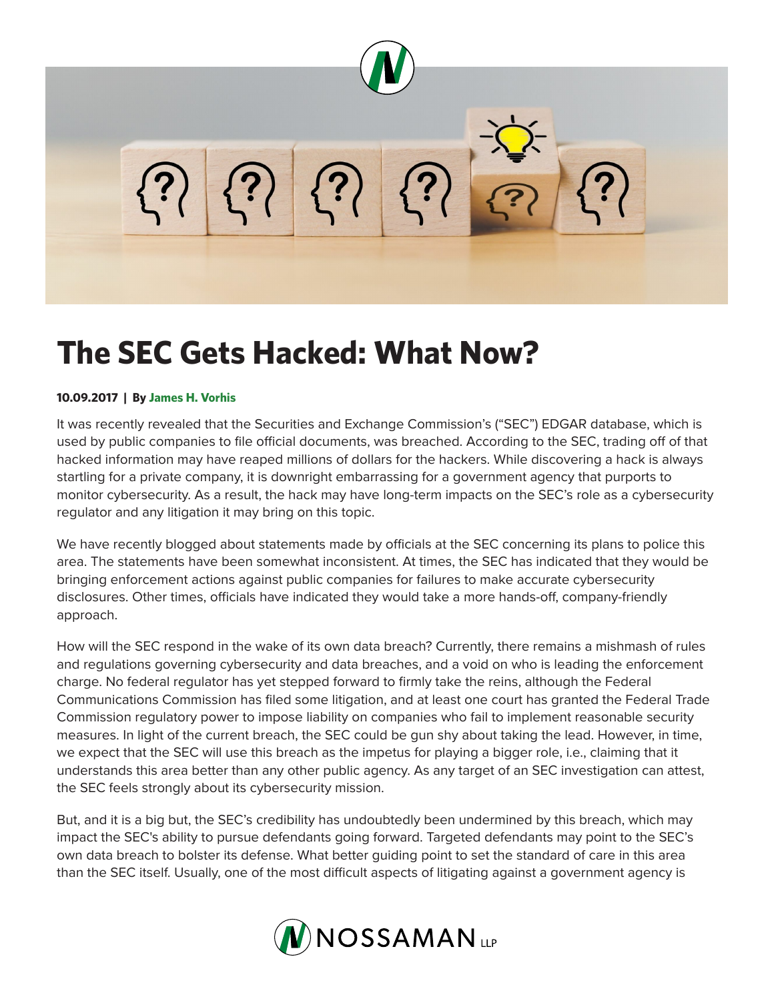

## **The SEC Gets Hacked: What Now?**

## **10.09.2017 | By James H. Vorhis**

It was recently revealed that the Securities and Exchange Commission's ("SEC") EDGAR database, which is used by public companies to file official documents, was breached. According to the SEC, trading off of that hacked information may have reaped millions of dollars for the hackers. While discovering a hack is always startling for a private company, it is downright embarrassing for a government agency that purports to monitor cybersecurity. As a result, the hack may have long-term impacts on the SEC's role as a cybersecurity regulator and any litigation it may bring on this topic.

We have recently blogged about statements made by officials at the SEC concerning its plans to police this area. The statements have been somewhat inconsistent. At times, the SEC has indicated that they would be bringing enforcement actions against public companies for failures to make accurate cybersecurity disclosures. Other times, officials have indicated they would take a more hands-off, company-friendly approach.

How will the SEC respond in the wake of its own data breach? Currently, there remains a mishmash of rules and regulations governing cybersecurity and data breaches, and a void on who is leading the enforcement charge. No federal regulator has yet stepped forward to firmly take the reins, although the Federal Communications Commission has filed some litigation, and at least one court has granted the Federal Trade Commission regulatory power to impose liability on companies who fail to implement reasonable security measures. In light of the current breach, the SEC could be gun shy about taking the lead. However, in time, we expect that the SEC will use this breach as the impetus for playing a bigger role, i.e., claiming that it understands this area better than any other public agency. As any target of an SEC investigation can attest, the SEC feels strongly about its cybersecurity mission.

But, and it is a big but, the SEC's credibility has undoubtedly been undermined by this breach, which may impact the SEC's ability to pursue defendants going forward. Targeted defendants may point to the SEC's own data breach to bolster its defense. What better guiding point to set the standard of care in this area than the SEC itself. Usually, one of the most difficult aspects of litigating against a government agency is